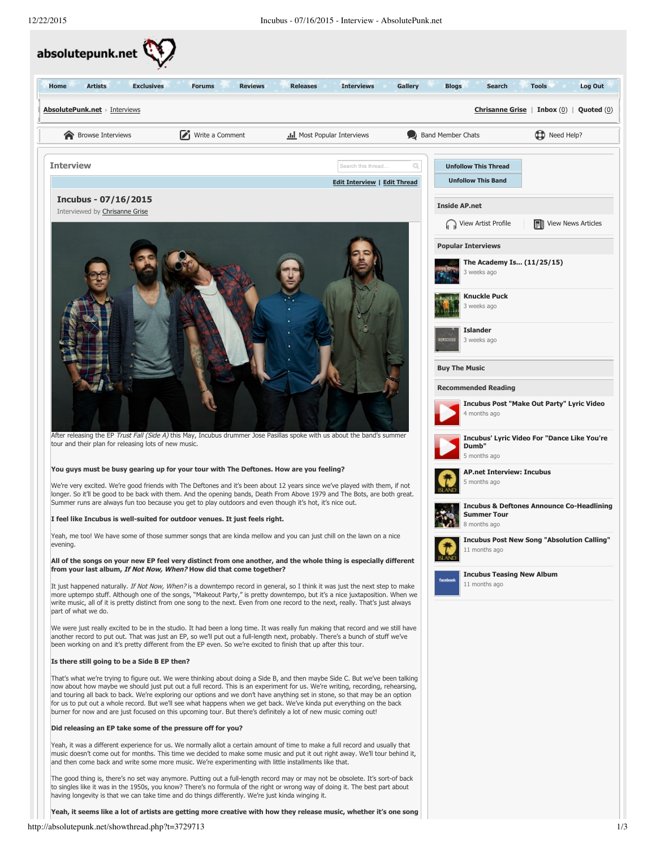